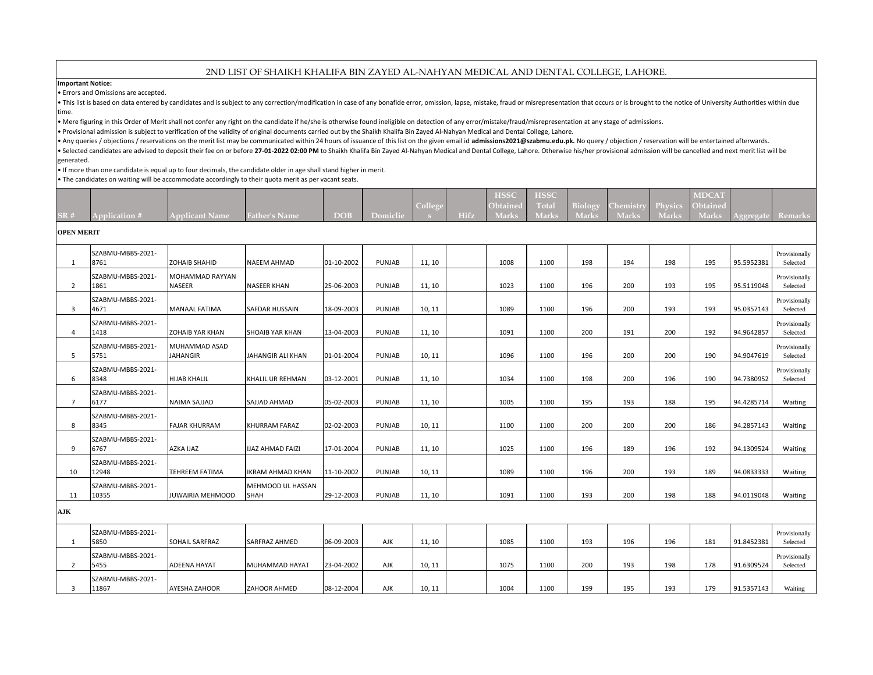## 2ND LIST OF SHAIKH KHALIFA BIN ZAYED AL-NAHYAN MEDICAL AND DENTAL COLLEGE, LAHORE.

**Important Notice:**

• Errors and Omissions are accepted.

. This list is based on data entered by candidates and is subject to any correction/modification in case of any bonafide error, omission, lapse, mistake, fraud or misrepresentation that occurs or is brought to the notice o time.

• Mere figuring in this Order of Merit shall not confer any right on the candidate if he/she is otherwise found ineligible on detection of any error/mistake/fraud/misrepresentation at any stage of admissions.

• Provisional admission is subject to verification of the validity of original documents carried out by the Shaikh Khalifa Bin Zayed Al-Nahyan Medical and Dental College, Lahore.

• Any queries / objections / reservations on the merit list may be communicated within 24 hours of issuance of this list on the given email id admissions2021@szabmu.edu.pk. No query / objection / reservation will be entert

. Selected candidates are advised to deposit their fee on or before 27-01-2022 02:00 PM to Shaikh Khalifa Bin Zayed Al-Nahyan Medical and Dental College, Lahore. Otherwise his/her provisional admission will be cancelled an generated.

• If more than one candidate is equal up to four decimals, the candidate older in age shall stand higher in merit.

• The candidates on waiting will be accommodate accordingly to their quota merit as per vacant seats.

|     |                      |                |                      |      |          | $\overline{\phantom{a}}$ |      | <b>HSSC</b><br>Obtained | <b>HSSC</b><br>Γota | $-1010$      | lemistr      | $\sim$ $\sim$<br><u>л пубісу</u> | <b>MDCAT</b><br>Obtained |           |           |
|-----|----------------------|----------------|----------------------|------|----------|--------------------------|------|-------------------------|---------------------|--------------|--------------|----------------------------------|--------------------------|-----------|-----------|
| SR# | <b>Application #</b> | Applicant Name | <b>Father's Name</b> | DOB' | Domiclie |                          | Hifz | Mark                    | <b>Mark</b>         | <b>Marks</b> | <b>Marks</b> | Marks                            | Mark                     | Aggregate | , Remarks |

## **OPEN MERIT**

| 1              | SZABMU-MBBS-2021-<br>8761  | <b>ZOHAIB SHAHID</b>                    | <b>NAEEM AHMAD</b>               | 01-10-2002 | <b>PUNJAB</b> | 11, 10 | 1008 | 1100 | 198 | 194 | 198 | 195 | 95.5952381 | Provisionally<br>Selected |
|----------------|----------------------------|-----------------------------------------|----------------------------------|------------|---------------|--------|------|------|-----|-----|-----|-----|------------|---------------------------|
| $\overline{2}$ | SZABMU-MBBS-2021-<br>1861  | <b>MOHAMMAD RAYYAN</b><br><b>NASEER</b> | <b>NASEER KHAN</b>               | 25-06-2003 | PUNJAB        | 11, 10 | 1023 | 1100 | 196 | 200 | 193 | 195 | 95.5119048 | Provisionally<br>Selected |
| -3             | SZABMU-MBBS-2021-<br>4671  | <b>MANAAL FATIMA</b>                    | SAFDAR HUSSAIN                   | 18-09-2003 | PUNJAB        | 10, 11 | 1089 | 1100 | 196 | 200 | 193 | 193 | 95.0357143 | Provisionally<br>Selected |
| $\overline{4}$ | SZABMU-MBBS-2021-<br>1418  | <b>ZOHAIB YAR KHAN</b>                  | <b>SHOAIB YAR KHAN</b>           | 13-04-2003 | <b>PUNJAB</b> | 11, 10 | 1091 | 1100 | 200 | 191 | 200 | 192 | 94.9642857 | Provisionally<br>Selected |
| -5             | SZABMU-MBBS-2021-<br>5751  | MUHAMMAD ASAD<br><b>JAHANGIR</b>        | JAHANGIR ALI KHAN                | 01-01-2004 | PUNJAB        | 10, 11 | 1096 | 1100 | 196 | 200 | 200 | 190 | 94.9047619 | Provisionally<br>Selected |
| 6              | SZABMU-MBBS-2021-<br>8348  | <b>HIJAB KHALIL</b>                     | KHALIL UR REHMAN                 | 03-12-2001 | <b>PUNJAB</b> | 11, 10 | 1034 | 1100 | 198 | 200 | 196 | 190 | 94.7380952 | Provisionally<br>Selected |
| $\overline{7}$ | SZABMU-MBBS-2021-<br>6177  | <b>NAIMA SAJJAD</b>                     | SAJJAD AHMAD                     | 05-02-2003 | <b>PUNJAB</b> | 11, 10 | 1005 | 1100 | 195 | 193 | 188 | 195 | 94.4285714 | Waiting                   |
| 8              | SZABMU-MBBS-2021-<br>8345  | <b>FAJAR KHURRAM</b>                    | KHURRAM FARAZ                    | 02-02-2003 | PUNJAB        | 10, 11 | 1100 | 1100 | 200 | 200 | 200 | 186 | 94.2857143 | Waiting                   |
| 9              | SZABMU-MBBS-2021-<br>6767  | <b>AZKA IJAZ</b>                        | IJAZ AHMAD FAIZI                 | 17-01-2004 | <b>PUNJAB</b> | 11, 10 | 1025 | 1100 | 196 | 189 | 196 | 192 | 94.1309524 | Waiting                   |
| 10             | SZABMU-MBBS-2021-<br>12948 | <b>TEHREEM FATIMA</b>                   | IKRAM AHMAD KHAN                 | 11-10-2002 | PUNJAB        | 10, 11 | 1089 | 1100 | 196 | 200 | 193 | 189 | 94.0833333 | Waiting                   |
| 11             | SZABMU-MBBS-2021-<br>10355 | <b>JUWAIRIA MEHMOOD</b>                 | MEHMOOD UL HASSAN<br><b>SHAH</b> | 29-12-2003 | PUNJAB        | 11, 10 | 1091 | 1100 | 193 | 200 | 198 | 188 | 94.0119048 | Waiting                   |
| AJK            |                            |                                         |                                  |            |               |        |      |      |     |     |     |     |            |                           |
| 1              | SZABMU-MBBS-2021-<br>5850  | <b>SOHAIL SARFRAZ</b>                   | SARFRAZ AHMED                    | 06-09-2003 | AJK           | 11, 10 | 1085 | 1100 | 193 | 196 | 196 | 181 | 91.8452381 | Provisionally<br>Selected |
| $\overline{2}$ | SZABMU-MBBS-2021-<br>5455  | <b>ADEENA HAYAT</b>                     | MUHAMMAD HAYAT                   | 23-04-2002 | AJK           | 10, 11 | 1075 | 1100 | 200 | 193 | 198 | 178 | 91.6309524 | Provisionally<br>Selected |
| 3              | SZABMU-MBBS-2021-<br>11867 | <b>AYESHA ZAHOOR</b>                    | ZAHOOR AHMED                     | 08-12-2004 | AJK           | 10, 11 | 1004 | 1100 | 199 | 195 | 193 | 179 | 91.5357143 | Waiting                   |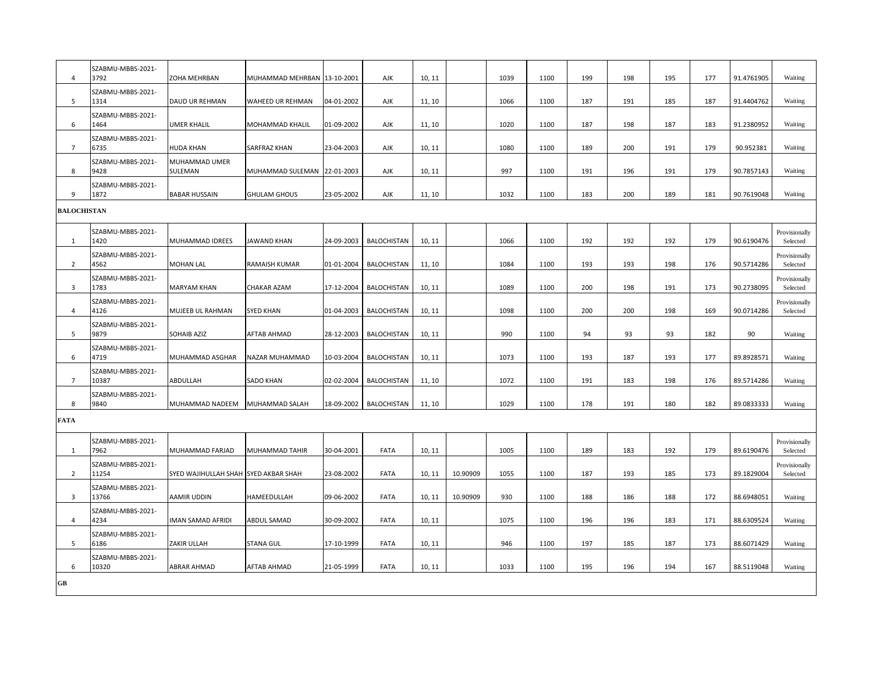| $\overline{4}$          | SZABMU-MBBS-2021-<br>3792  | ZOHA MEHRBAN                         | MUHAMMAD MEHRBAN 13-10-2001         |            | AJK                | 10, 11           |          | 1039 | 1100 | 199 | 198 | 195 | 177 | 91.4761905 | Waiting                   |
|-------------------------|----------------------------|--------------------------------------|-------------------------------------|------------|--------------------|------------------|----------|------|------|-----|-----|-----|-----|------------|---------------------------|
| 5                       | SZABMU-MBBS-2021-<br>1314  |                                      |                                     | 04-01-2002 |                    |                  |          | 1066 | 1100 | 187 | 191 | 185 | 187 | 91.4404762 | Waiting                   |
| 6                       | SZABMU-MBBS-2021-<br>1464  | DAUD UR REHMAN<br><b>UMER KHALIL</b> | WAHEED UR REHMAN<br>MOHAMMAD KHALIL | 01-09-2002 | AJK<br>AJK         | 11, 10<br>11, 10 |          | 1020 | 1100 | 187 | 198 | 187 | 183 | 91.2380952 | Waiting                   |
| 7                       | SZABMU-MBBS-2021-<br>6735  | <b>HUDA KHAN</b>                     | SARFRAZ KHAN                        | 23-04-2003 | AJK                | 10, 11           |          | 1080 | 1100 | 189 | 200 | 191 | 179 | 90.952381  | Waiting                   |
| 8                       | SZABMU-MBBS-2021-<br>9428  | MUHAMMAD UMER<br>SULEMAN             | MUHAMMAD SULEMAN 22-01-2003         |            | AJK                | 10, 11           |          | 997  | 1100 | 191 | 196 | 191 | 179 | 90.7857143 | Waiting                   |
| 9                       | SZABMU-MBBS-2021-<br>1872  | <b>BABAR HUSSAIN</b>                 | <b>GHULAM GHOUS</b>                 | 23-05-2002 | AJK                | 11, 10           |          | 1032 | 1100 | 183 | 200 | 189 | 181 | 90.7619048 | Waiting                   |
| <b>BALOCHISTAN</b>      |                            |                                      |                                     |            |                    |                  |          |      |      |     |     |     |     |            |                           |
| 1                       | SZABMU-MBBS-2021-<br>1420  | MUHAMMAD IDREES                      | JAWAND KHAN                         | 24-09-2003 | <b>BALOCHISTAN</b> | 10, 11           |          | 1066 | 1100 | 192 | 192 | 192 | 179 | 90.6190476 | Provisionally<br>Selected |
| $\overline{2}$          | SZABMU-MBBS-2021-<br>4562  | <b>MOHAN LAL</b>                     | <b>RAMAISH KUMAR</b>                | 01-01-2004 | <b>BALOCHISTAN</b> | 11, 10           |          | 1084 | 1100 | 193 | 193 | 198 | 176 | 90.5714286 | Provisionally<br>Selected |
| 3                       | SZABMU-MBBS-2021-<br>1783  | <b>MARYAM KHAN</b>                   | <b>CHAKAR AZAM</b>                  | 17-12-2004 | <b>BALOCHISTAN</b> | 10, 11           |          | 1089 | 1100 | 200 | 198 | 191 | 173 | 90.2738095 | Provisionally<br>Selected |
| $\overline{4}$          | SZABMU-MBBS-2021-<br>4126  | MUJEEB UL RAHMAN                     | <b>SYED KHAN</b>                    | 01-04-2003 | <b>BALOCHISTAN</b> | 10, 11           |          | 1098 | 1100 | 200 | 200 | 198 | 169 | 90.0714286 | Provisionally<br>Selected |
| 5                       | SZABMU-MBBS-2021-<br>9879  | SOHAIB AZIZ                          | <b>AFTAB AHMAD</b>                  | 28-12-2003 | <b>BALOCHISTAN</b> | 10, 11           |          | 990  | 1100 | 94  | 93  | 93  | 182 | 90         | Waiting                   |
| 6                       | SZABMU-MBBS-2021-<br>4719  | MUHAMMAD ASGHAR                      | NAZAR MUHAMMAD                      | 10-03-2004 | <b>BALOCHISTAN</b> | 10, 11           |          | 1073 | 1100 | 193 | 187 | 193 | 177 | 89.8928571 | Waiting                   |
| $\overline{7}$          | SZABMU-MBBS-2021-<br>10387 | ABDULLAH                             | <b>SADO KHAN</b>                    | 02-02-2004 | <b>BALOCHISTAN</b> | 11, 10           |          | 1072 | 1100 | 191 | 183 | 198 | 176 | 89.5714286 | Waiting                   |
| 8                       | SZABMU-MBBS-2021-<br>9840  | MUHAMMAD NADEEM                      | MUHAMMAD SALAH                      | 18-09-2002 | <b>BALOCHISTAN</b> | 11, 10           |          | 1029 | 1100 | 178 | 191 | 180 | 182 | 89.0833333 | Waiting                   |
| <b>FATA</b>             |                            |                                      |                                     |            |                    |                  |          |      |      |     |     |     |     |            |                           |
| 1                       | SZABMU-MBBS-2021-<br>7962  | MUHAMMAD FARJAD                      | MUHAMMAD TAHIR                      | 30-04-2001 | FATA               | 10, 11           |          | 1005 | 1100 | 189 | 183 | 192 | 179 | 89.6190476 | Provisionally<br>Selected |
| $\overline{2}$          | SZABMU-MBBS-2021-<br>11254 | SYED WAJIHULLAH SHAH SYED AKBAR SHAH |                                     | 23-08-2002 | FATA               | 10, 11           | 10.90909 | 1055 | 1100 | 187 | 193 | 185 | 173 | 89.1829004 | Provisionally<br>Selected |
| $\overline{\mathbf{3}}$ | SZABMU-MBBS-2021-<br>13766 | AAMIR UDDIN                          | HAMEEDULLAH                         | 09-06-2002 | FATA               | 10, 11           | 10.90909 | 930  | 1100 | 188 | 186 | 188 | 172 | 88.6948051 | Waiting                   |
| 4                       | SZABMU-MBBS-2021-<br>4234  | IMAN SAMAD AFRIDI                    | ABDUL SAMAD                         | 30-09-2002 | FATA               | 10, 11           |          | 1075 | 1100 | 196 | 196 | 183 | 171 | 88.6309524 | Waiting                   |
| 5                       | SZABMU-MBBS-2021-<br>6186  | ZAKIR ULLAH                          | <b>STANA GUL</b>                    | 17-10-1999 | FATA               | 10, 11           |          | 946  | 1100 | 197 | 185 | 187 | 173 | 88.6071429 | Waiting                   |
| 6                       | SZABMU-MBBS-2021-<br>10320 | <b>ABRAR AHMAD</b>                   | <b>AFTAB AHMAD</b>                  | 21-05-1999 | FATA               | 10, 11           |          | 1033 | 1100 | 195 | 196 | 194 | 167 | 88.5119048 | Waiting                   |
| ${\bf G}{\bf B}$        |                            |                                      |                                     |            |                    |                  |          |      |      |     |     |     |     |            |                           |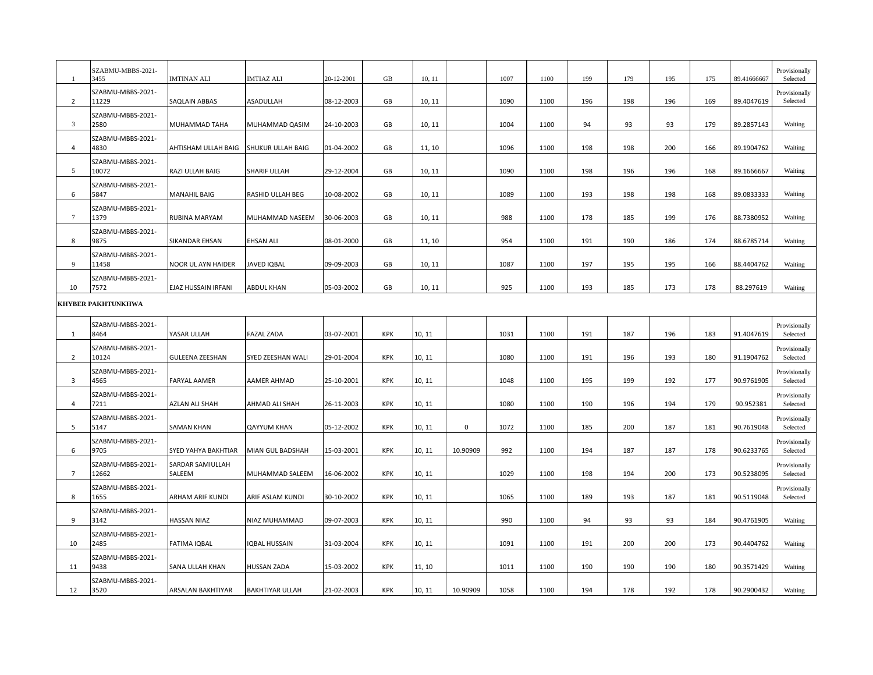|                | SZABMU-MBBS-2021-<br>3455  | IMTINAN ALI                | <b>IMTIAZ ALI</b>      | 20-12-2001 | GB         | 10, 11 |             | 1007 | 1100 | 199 | 179 | 195 | 175 | 89.41666667 | Provisionally<br>Selected |
|----------------|----------------------------|----------------------------|------------------------|------------|------------|--------|-------------|------|------|-----|-----|-----|-----|-------------|---------------------------|
| $\overline{2}$ | SZABMU-MBBS-2021-<br>11229 | SAQLAIN ABBAS              | ASADULLAH              | 08-12-2003 | GB         | 10, 11 |             | 1090 | 1100 | 196 | 198 | 196 | 169 | 89.4047619  | Provisionally<br>Selected |
| 3              | SZABMU-MBBS-2021-<br>2580  | MUHAMMAD TAHA              | MUHAMMAD QASIM         | 24-10-2003 | GB         | 10, 11 |             | 1004 | 1100 | 94  | 93  | 93  | 179 | 89.2857143  | Waiting                   |
| 4              | SZABMU-MBBS-2021-<br>4830  | AHTISHAM ULLAH BAIG        | SHUKUR ULLAH BAIG      | 01-04-2002 | GB         | 11, 10 |             | 1096 | 1100 | 198 | 198 | 200 | 166 | 89.1904762  | Waiting                   |
| 5              | SZABMU-MBBS-2021-<br>10072 | RAZI ULLAH BAIG            | SHARIF ULLAH           | 29-12-2004 | GB         | 10, 11 |             | 1090 | 1100 | 198 | 196 | 196 | 168 | 89.1666667  | Waiting                   |
| 6              | SZABMU-MBBS-2021-<br>5847  | MANAHIL BAIG               | RASHID ULLAH BEG       | 10-08-2002 | GB         | 10, 11 |             | 1089 | 1100 | 193 | 198 | 198 | 168 | 89.0833333  | Waiting                   |
| 7              | SZABMU-MBBS-2021-<br>1379  | RUBINA MARYAM              | MUHAMMAD NASEEM        | 30-06-2003 | GB         | 10, 11 |             | 988  | 1100 | 178 | 185 | 199 | 176 | 88.7380952  | Waiting                   |
| 8              | SZABMU-MBBS-2021-<br>9875  | SIKANDAR EHSAN             | <b>EHSAN ALI</b>       | 08-01-2000 | GB         | 11, 10 |             | 954  | 1100 | 191 | 190 | 186 | 174 | 88.6785714  | Waiting                   |
| 9              | SZABMU-MBBS-2021-<br>11458 | NOOR UL AYN HAIDER         | <b>JAVED IQBAL</b>     | 09-09-2003 | GB         | 10, 11 |             | 1087 | 1100 | 197 | 195 | 195 | 166 | 88.4404762  | Waiting                   |
| 10             | SZABMU-MBBS-2021-<br>7572  | EJAZ HUSSAIN IRFANI        | <b>ABDUL KHAN</b>      | 05-03-2002 | GB         | 10, 11 |             | 925  | 1100 | 193 | 185 | 173 | 178 | 88.297619   | Waiting                   |
|                | KHYBER PAKHTUNKHWA         |                            |                        |            |            |        |             |      |      |     |     |     |     |             |                           |
| 1              | SZABMU-MBBS-2021-<br>8464  | YASAR ULLAH                | <b>FAZAL ZADA</b>      | 03-07-2001 | KPK        | 10, 11 |             | 1031 | 1100 | 191 | 187 | 196 | 183 | 91.4047619  | Provisionally<br>Selected |
| $\overline{2}$ | SZABMU-MBBS-2021-<br>10124 | <b>GULEENA ZEESHAN</b>     | SYED ZEESHAN WALI      | 29-01-2004 | KPK        | 10, 11 |             | 1080 | 1100 | 191 | 196 | 193 | 180 | 91.1904762  | Provisionally<br>Selected |
| 3              | SZABMU-MBBS-2021-<br>4565  | FARYAL AAMER               | AAMER AHMAD            | 25-10-2001 | KPK        | 10, 11 |             | 1048 | 1100 | 195 | 199 | 192 | 177 | 90.9761905  | Provisionally<br>Selected |
| 4              | SZABMU-MBBS-2021-<br>7211  | AZLAN ALI SHAH             | AHMAD ALI SHAH         | 26-11-2003 | KPK        | 10, 11 |             | 1080 | 1100 | 190 | 196 | 194 | 179 | 90.952381   | Provisionally<br>Selected |
| 5              | SZABMU-MBBS-2021-<br>5147  | <b>SAMAN KHAN</b>          | <b>QAYYUM KHAN</b>     | 05-12-2002 | KPK        | 10, 11 | $\mathsf 0$ | 1072 | 1100 | 185 | 200 | 187 | 181 | 90.7619048  | Provisionally<br>Selected |
| 6              | SZABMU-MBBS-2021-<br>9705  | SYED YAHYA BAKHTIAR        | MIAN GUL BADSHAH       | 15-03-2001 | KPK        | 10, 11 | 10.90909    | 992  | 1100 | 194 | 187 | 187 | 178 | 90.6233765  | Provisionally<br>Selected |
| $\overline{7}$ | SZABMU-MBBS-2021-<br>12662 | SARDAR SAMIULLAH<br>SALEEM | MUHAMMAD SALEEM        | 16-06-2002 | KPK        | 10, 11 |             | 1029 | 1100 | 198 | 194 | 200 | 173 | 90.5238095  | Provisionally<br>Selected |
| 8              | SZABMU-MBBS-2021-<br>1655  | ARHAM ARIF KUNDI           | ARIF ASLAM KUNDI       | 30-10-2002 | <b>KPK</b> | 10, 11 |             | 1065 | 1100 | 189 | 193 | 187 | 181 | 90.5119048  | Provisionally<br>Selected |
| 9              | SZABMU-MBBS-2021-<br>3142  | <b>HASSAN NIAZ</b>         | NIAZ MUHAMMAD          | 09-07-2003 | KPK        | 10, 11 |             | 990  | 1100 | 94  | 93  | 93  | 184 | 90.4761905  | Waiting                   |
| 10             | SZABMU-MBBS-2021-<br>2485  | <b>FATIMA IQBAL</b>        | IQBAL HUSSAIN          | 31-03-2004 | KPK        | 10, 11 |             | 1091 | 1100 | 191 | 200 | 200 | 173 | 90.4404762  | Waiting                   |
| 11             | SZABMU-MBBS-2021-<br>9438  | SANA ULLAH KHAN            | HUSSAN ZADA            | 15-03-2002 | KPK        | 11, 10 |             | 1011 | 1100 | 190 | 190 | 190 | 180 | 90.3571429  | Waiting                   |
| 12             | SZABMU-MBBS-2021-<br>3520  | ARSALAN BAKHTIYAR          | <b>BAKHTIYAR ULLAH</b> | 21-02-2003 | <b>KPK</b> | 10, 11 | 10.90909    | 1058 | 1100 | 194 | 178 | 192 | 178 | 90.2900432  | Waiting                   |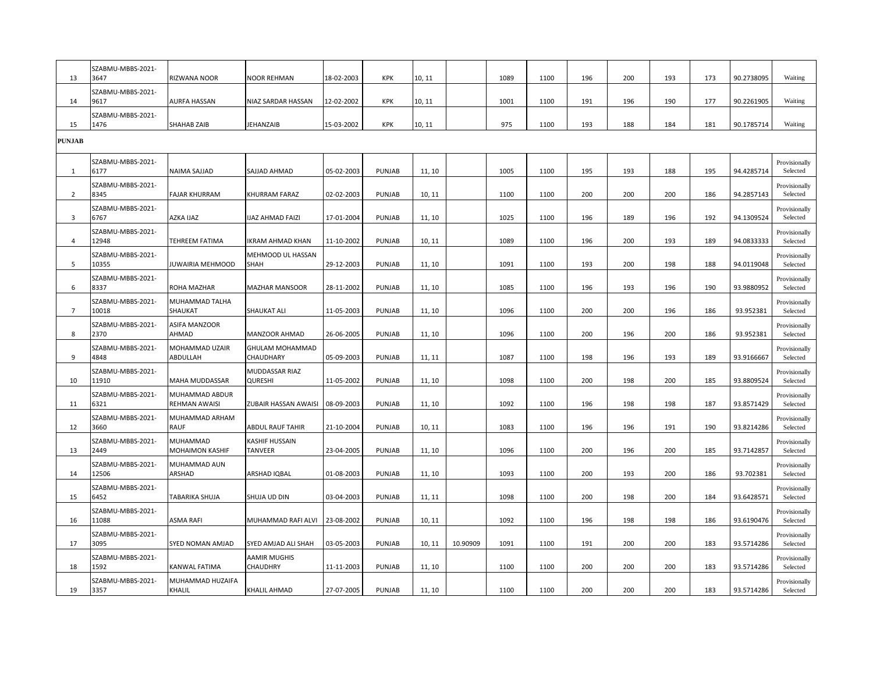| 13             | SZABMU-MBBS-2021-<br>3647  | RIZWANA NOOR                    | <b>NOOR REHMAN</b>               | 18-02-2003 | KPK           | 10, 11 |          | 1089 | 1100 | 196 | 200 | 193 | 173 | 90.2738095 | Waiting                   |
|----------------|----------------------------|---------------------------------|----------------------------------|------------|---------------|--------|----------|------|------|-----|-----|-----|-----|------------|---------------------------|
| 14             | SZABMU-MBBS-2021-<br>9617  | AURFA HASSAN                    | NIAZ SARDAR HASSAN               | 12-02-2002 | KPK           | 10, 11 |          | 1001 | 1100 | 191 | 196 | 190 | 177 | 90.2261905 | Waiting                   |
| 15             | SZABMU-MBBS-2021-<br>1476  | <b>SHAHAB ZAIB</b>              | <b>JEHANZAIB</b>                 | 15-03-2002 | KPK           | 10, 11 |          | 975  | 1100 | 193 | 188 | 184 | 181 | 90.1785714 | Waiting                   |
| <b>PUNJAB</b>  |                            |                                 |                                  |            |               |        |          |      |      |     |     |     |     |            |                           |
| 1              | SZABMU-MBBS-2021-<br>6177  | NAIMA SAJJAD                    | SAJJAD AHMAD                     | 05-02-2003 | PUNJAB        | 11, 10 |          | 1005 | 1100 | 195 | 193 | 188 | 195 | 94.4285714 | Provisionally<br>Selected |
| $\overline{2}$ | SZABMU-MBBS-2021-<br>8345  | FAJAR KHURRAM                   | KHURRAM FARAZ                    | 02-02-2003 | PUNJAB        | 10, 11 |          | 1100 | 1100 | 200 | 200 | 200 | 186 | 94.2857143 | Provisionally<br>Selected |
| 3              | SZABMU-MBBS-2021-<br>6767  | AZKA IJAZ                       | <b>IJAZ AHMAD FAIZI</b>          | 17-01-2004 | PUNJAB        | 11, 10 |          | 1025 | 1100 | 196 | 189 | 196 | 192 | 94.1309524 | Provisionally<br>Selected |
| 4              | SZABMU-MBBS-2021-<br>12948 | TEHREEM FATIMA                  | <b>IKRAM AHMAD KHAN</b>          | 11-10-2002 | PUNJAB        | 10, 11 |          | 1089 | 1100 | 196 | 200 | 193 | 189 | 94.0833333 | Provisionally<br>Selected |
| .5             | SZABMU-MBBS-2021-<br>10355 | JUWAIRIA MEHMOOD                | MEHMOOD UL HASSAN<br>SHAH        | 29-12-2003 | PUNJAB        | 11, 10 |          | 1091 | 1100 | 193 | 200 | 198 | 188 | 94.0119048 | Provisionally<br>Selected |
| 6              | SZABMU-MBBS-2021-<br>8337  | ROHA MAZHAR                     | <b>MAZHAR MANSOOR</b>            | 28-11-2002 | PUNJAB        | 11, 10 |          | 1085 | 1100 | 196 | 193 | 196 | 190 | 93.9880952 | Provisionally<br>Selected |
| $\overline{7}$ | SZABMU-MBBS-2021-<br>10018 | MUHAMMAD TALHA<br>SHAUKAT       | SHAUKAT ALI                      | 11-05-2003 | <b>PUNJAB</b> | 11, 10 |          | 1096 | 1100 | 200 | 200 | 196 | 186 | 93.952381  | Provisionally<br>Selected |
| 8              | SZABMU-MBBS-2021-<br>2370  | ASIFA MANZOOR<br>AHMAD          | <b>MANZOOR AHMAD</b>             | 26-06-2005 | PUNJAB        | 11, 10 |          | 1096 | 1100 | 200 | 196 | 200 | 186 | 93.952381  | Provisionally<br>Selected |
| 9              | SZABMU-MBBS-2021-<br>4848  | MOHAMMAD UZAIR<br>ABDULLAH      | GHULAM MOHAMMAD<br>CHAUDHARY     | 05-09-2003 | PUNJAB        | 11, 11 |          | 1087 | 1100 | 198 | 196 | 193 | 189 | 93.9166667 | Provisionally<br>Selected |
| 10             | SZABMU-MBBS-2021-<br>11910 | MAHA MUDDASSAR                  | MUDDASSAR RIAZ<br><b>QURESHI</b> | 11-05-2002 | PUNJAB        | 11, 10 |          | 1098 | 1100 | 200 | 198 | 200 | 185 | 93.8809524 | Provisionally<br>Selected |
| 11             | SZABMU-MBBS-2021-<br>6321  | MUHAMMAD ABDUR<br>REHMAN AWAISI | ZUBAIR HASSAN AWAISI             | 08-09-2003 | <b>PUNJAB</b> | 11, 10 |          | 1092 | 1100 | 196 | 198 | 198 | 187 | 93.8571429 | Provisionally<br>Selected |
| 12             | SZABMU-MBBS-2021-<br>3660  | MUHAMMAD ARHAM<br>RAUF          | <b>ABDUL RAUF TAHIR</b>          | 21-10-2004 | PUNJAB        | 10, 11 |          | 1083 | 1100 | 196 | 196 | 191 | 190 | 93.8214286 | Provisionally<br>Selected |
| 13             | SZABMU-MBBS-2021-<br>2449  | MUHAMMAD<br>MOHAIMON KASHIF     | KASHIF HUSSAIN<br>TANVEER        | 23-04-2005 | PUNJAB        | 11, 10 |          | 1096 | 1100 | 200 | 196 | 200 | 185 | 93.7142857 | Provisionally<br>Selected |
| 14             | SZABMU-MBBS-2021-<br>12506 | MUHAMMAD AUN<br>ARSHAD          | ARSHAD IQBAL                     | 01-08-2003 | PUNJAB        | 11, 10 |          | 1093 | 1100 | 200 | 193 | 200 | 186 | 93.702381  | Provisionally<br>Selected |
| 15             | SZABMU-MBBS-2021-<br>6452  | TABARIKA SHUJA                  | SHUJA UD DIN                     | 03-04-2003 | PUNJAB        | 11, 11 |          | 1098 | 1100 | 200 | 198 | 200 | 184 | 93.6428571 | Provisionally<br>Selected |
| 16             | SZABMU-MBBS-2021-<br>11088 | ASMA RAFI                       | MUHAMMAD RAFI ALVI               | 23-08-2002 | PUNJAB        | 10, 11 |          | 1092 | 1100 | 196 | 198 | 198 | 186 | 93.6190476 | Provisionally<br>Selected |
| 17             | SZABMU-MBBS-2021-<br>3095  | SYED NOMAN AMJAD                | SYED AMJAD ALI SHAH              | 03-05-2003 | PUNJAB        | 10, 11 | 10.90909 | 1091 | 1100 | 191 | 200 | 200 | 183 | 93.5714286 | Provisionally<br>Selected |
| 18             | SZABMU-MBBS-2021-<br>1592  | KANWAL FATIMA                   | AAMIR MUGHIS<br>CHAUDHRY         | 11-11-2003 | PUNJAB        | 11, 10 |          | 1100 | 1100 | 200 | 200 | 200 | 183 | 93.5714286 | Provisionally<br>Selected |
| 19             | SZABMU-MBBS-2021-<br>3357  | MUHAMMAD HUZAIFA<br>KHALIL      | <b>KHALIL AHMAD</b>              | 27-07-2005 | PUNJAB        | 11, 10 |          | 1100 | 1100 | 200 | 200 | 200 | 183 | 93.5714286 | Provisionally<br>Selected |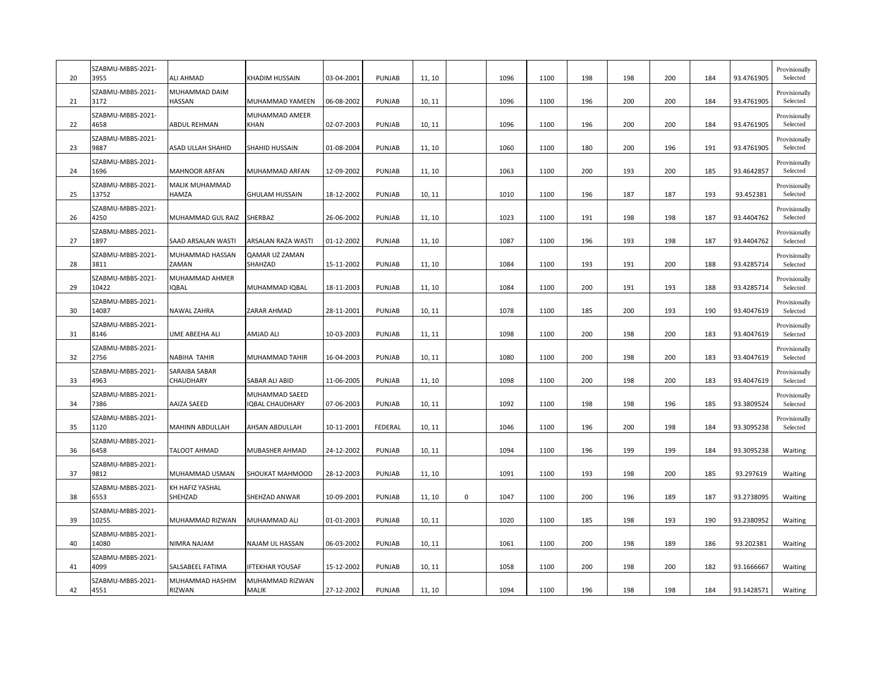| 20 | SZABMU-MBBS-2021-<br>3955  | <b>ALI AHMAD</b>               | KHADIM HUSSAIN                    | 03-04-2001 | <b>PUNJAB</b> | 11, 10 |             | 1096 | 1100 | 198 | 198 | 200 | 184 | 93.4761905 | Provisionally<br>Selected |
|----|----------------------------|--------------------------------|-----------------------------------|------------|---------------|--------|-------------|------|------|-----|-----|-----|-----|------------|---------------------------|
| 21 | SZABMU-MBBS-2021-<br>3172  | MUHAMMAD DAIM<br>HASSAN        | MUHAMMAD YAMEEN                   | 06-08-2002 | <b>PUNJAB</b> | 10, 11 |             | 1096 | 1100 | 196 | 200 | 200 | 184 | 93.4761905 | Provisionally<br>Selected |
| 22 | SZABMU-MBBS-2021-<br>4658  | ABDUL REHMAN                   | MUHAMMAD AMEER<br><b>KHAN</b>     | 02-07-2003 | PUNJAB        | 10, 11 |             | 1096 | 1100 | 196 | 200 | 200 | 184 | 93.4761905 | Provisionally<br>Selected |
| 23 | SZABMU-MBBS-2021-<br>9887  | ASAD ULLAH SHAHID              | SHAHID HUSSAIN                    | 01-08-2004 | PUNJAB        | 11, 10 |             | 1060 | 1100 | 180 | 200 | 196 | 191 | 93.4761905 | Provisionally<br>Selected |
| 24 | SZABMU-MBBS-2021-<br>1696  | <b>MAHNOOR ARFAN</b>           | MUHAMMAD ARFAN                    | 12-09-2002 | <b>PUNJAB</b> | 11, 10 |             | 1063 | 1100 | 200 | 193 | 200 | 185 | 93.4642857 | Provisionally<br>Selected |
| 25 | SZABMU-MBBS-2021-<br>13752 | MALIK MUHAMMAD<br>HAMZA        | <b>GHULAM HUSSAIN</b>             | 18-12-2002 | PUNJAB        | 10, 11 |             | 1010 | 1100 | 196 | 187 | 187 | 193 | 93.452381  | Provisionally<br>Selected |
| 26 | SZABMU-MBBS-2021-<br>4250  | MUHAMMAD GUL RAIZ              | SHERBAZ                           | 26-06-2002 | <b>PUNJAB</b> | 11, 10 |             | 1023 | 1100 | 191 | 198 | 198 | 187 | 93.4404762 | Provisionally<br>Selected |
| 27 | SZABMU-MBBS-2021-<br>1897  | SAAD ARSALAN WASTI             | ARSALAN RAZA WASTI                | 01-12-2002 | PUNJAB        | 11, 10 |             | 1087 | 1100 | 196 | 193 | 198 | 187 | 93.4404762 | Provisionally<br>Selected |
| 28 | SZABMU-MBBS-2021-<br>3811  | MUHAMMAD HASSAN<br>ZAMAN       | QAMAR UZ ZAMAN<br>SHAHZAD         | 15-11-2002 | <b>PUNJAB</b> | 11, 10 |             | 1084 | 1100 | 193 | 191 | 200 | 188 | 93.4285714 | Provisionally<br>Selected |
| 29 | SZABMU-MBBS-2021-<br>10422 | MUHAMMAD AHMER<br><b>IQBAL</b> | MUHAMMAD IQBAL                    | 18-11-2003 | PUNJAB        | 11, 10 |             | 1084 | 1100 | 200 | 191 | 193 | 188 | 93.4285714 | Provisionally<br>Selected |
| 30 | SZABMU-MBBS-2021-<br>14087 | NAWAL ZAHRA                    | ZARAR AHMAD                       | 28-11-2001 | <b>PUNJAB</b> | 10, 11 |             | 1078 | 1100 | 185 | 200 | 193 | 190 | 93.4047619 | Provisionally<br>Selected |
| 31 | SZABMU-MBBS-2021-<br>8146  | <b>UME ABEEHA ALI</b>          | AMJAD ALI                         | 10-03-2003 | PUNJAB        | 11, 11 |             | 1098 | 1100 | 200 | 198 | 200 | 183 | 93.4047619 | Provisionally<br>Selected |
| 32 | SZABMU-MBBS-2021-<br>2756  | <b>NABIHA TAHIR</b>            | MUHAMMAD TAHIR                    | 16-04-2003 | PUNJAB        | 10, 11 |             | 1080 | 1100 | 200 | 198 | 200 | 183 | 93.4047619 | Provisionally<br>Selected |
| 33 | SZABMU-MBBS-2021-<br>4963  | SARAIBA SABAR<br>CHAUDHARY     | SABAR ALI ABID                    | 11-06-2005 | PUNJAB        | 11, 10 |             | 1098 | 1100 | 200 | 198 | 200 | 183 | 93.4047619 | Provisionally<br>Selected |
| 34 | SZABMU-MBBS-2021-<br>7386  | AAIZA SAEED                    | MUHAMMAD SAEED<br>IQBAL CHAUDHARY | 07-06-2003 | <b>PUNJAB</b> | 10, 11 |             | 1092 | 1100 | 198 | 198 | 196 | 185 | 93.3809524 | Provisionally<br>Selected |
| 35 | SZABMU-MBBS-2021-<br>1120  | <b>MAHINN ABDULLAH</b>         | AHSAN ABDULLAH                    | 10-11-2001 | FEDERAL       | 10, 11 |             | 1046 | 1100 | 196 | 200 | 198 | 184 | 93.3095238 | Provisionally<br>Selected |
| 36 | SZABMU-MBBS-2021-<br>6458  | TALOOT AHMAD                   | MUBASHER AHMAD                    | 24-12-2002 | PUNJAB        | 10, 11 |             | 1094 | 1100 | 196 | 199 | 199 | 184 | 93.3095238 | Waiting                   |
| 37 | SZABMU-MBBS-2021-<br>9812  | MUHAMMAD USMAN                 | SHOUKAT MAHMOOD                   | 28-12-2003 | <b>PUNJAB</b> | 11, 10 |             | 1091 | 1100 | 193 | 198 | 200 | 185 | 93.297619  | Waiting                   |
| 38 | SZABMU-MBBS-2021-<br>6553  | KH HAFIZ YASHAL<br>SHEHZAD     | SHEHZAD ANWAR                     | 10-09-2001 | <b>PUNJAB</b> | 11, 10 | $\mathsf 0$ | 1047 | 1100 | 200 | 196 | 189 | 187 | 93.2738095 | Waiting                   |
| 39 | SZABMU-MBBS-2021-<br>10255 | MUHAMMAD RIZWAN                | MUHAMMAD ALI                      | 01-01-2003 | <b>PUNJAB</b> | 10, 11 |             | 1020 | 1100 | 185 | 198 | 193 | 190 | 93.2380952 | Waiting                   |
| 40 | SZABMU-MBBS-2021-<br>14080 | NIMRA NAJAM                    | NAJAM UL HASSAN                   | 06-03-2002 | <b>PUNJAB</b> | 10, 11 |             | 1061 | 1100 | 200 | 198 | 189 | 186 | 93.202381  | Waiting                   |
| 41 | SZABMU-MBBS-2021-<br>4099  | SALSABEEL FATIMA               | <b>IFTEKHAR YOUSAF</b>            | 15-12-2002 | <b>PUNJAB</b> | 10, 11 |             | 1058 | 1100 | 200 | 198 | 200 | 182 | 93.1666667 | Waiting                   |
| 42 | SZABMU-MBBS-2021-<br>4551  | MUHAMMAD HASHIM<br>RIZWAN      | MUHAMMAD RIZWAN<br>MALIK          | 27-12-2002 | PUNJAB        | 11, 10 |             | 1094 | 1100 | 196 | 198 | 198 | 184 | 93.1428571 | Waiting                   |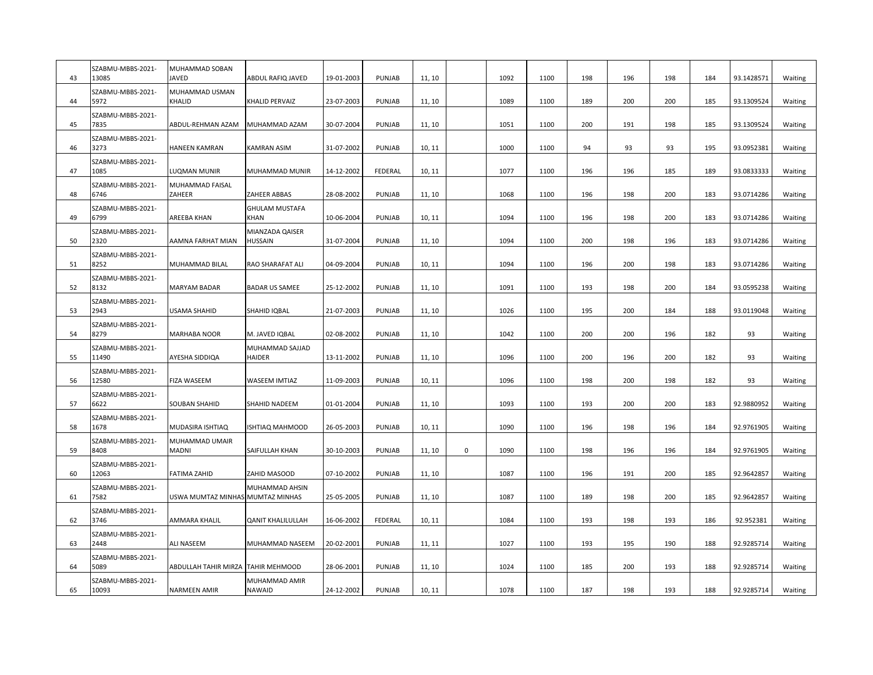| 43 | SZABMU-MBBS-2021-<br>13085 | MUHAMMAD SOBAN<br><b>JAVED</b>   | ABDUL RAFIQ JAVED                    | 19-01-2003 | PUNJAB        | 11, 10 |             | 1092 | 1100 | 198 | 196 | 198 | 184 | 93.1428571 | Waiting |
|----|----------------------------|----------------------------------|--------------------------------------|------------|---------------|--------|-------------|------|------|-----|-----|-----|-----|------------|---------|
| 44 | SZABMU-MBBS-2021-<br>5972  | MUHAMMAD USMAN<br>KHALID         | KHALID PERVAIZ                       | 23-07-2003 | PUNJAB        | 11, 10 |             | 1089 | 1100 | 189 | 200 | 200 | 185 | 93.1309524 | Waiting |
| 45 | SZABMU-MBBS-2021-<br>7835  | ABDUL-REHMAN AZAM                | MUHAMMAD AZAM                        | 30-07-2004 | PUNJAB        | 11, 10 |             | 1051 | 1100 | 200 | 191 | 198 | 185 | 93.1309524 | Waiting |
| 46 | SZABMU-MBBS-2021-<br>3273  | <b>HANEEN KAMRAN</b>             | <b>KAMRAN ASIM</b>                   | 31-07-2002 | <b>PUNJAB</b> | 10, 11 |             | 1000 | 1100 | 94  | 93  | 93  | 195 | 93.0952381 | Waiting |
| 47 | SZABMU-MBBS-2021-<br>1085  | LUQMAN MUNIR                     | MUHAMMAD MUNIR                       | 14-12-2002 | FEDERAL       | 10, 11 |             | 1077 | 1100 | 196 | 196 | 185 | 189 | 93.0833333 | Waiting |
| 48 | SZABMU-MBBS-2021-<br>6746  | MUHAMMAD FAISAL<br>ZAHEER        | ZAHEER ABBAS                         | 28-08-2002 | PUNJAB        | 11, 10 |             | 1068 | 1100 | 196 | 198 | 200 | 183 | 93.0714286 | Waiting |
| 49 | SZABMU-MBBS-2021-<br>6799  | AREEBA KHAN                      | <b>GHULAM MUSTAFA</b><br><b>KHAN</b> | 10-06-2004 | PUNJAB        | 10, 11 |             | 1094 | 1100 | 196 | 198 | 200 | 183 | 93.0714286 | Waiting |
| 50 | SZABMU-MBBS-2021-<br>2320  | AAMNA FARHAT MIAN                | MIANZADA QAISER<br><b>HUSSAIN</b>    | 31-07-2004 | <b>PUNJAB</b> | 11, 10 |             | 1094 | 1100 | 200 | 198 | 196 | 183 | 93.0714286 | Waiting |
| 51 | SZABMU-MBBS-2021-<br>8252  | MUHAMMAD BILAL                   | RAO SHARAFAT ALI                     | 04-09-2004 | PUNJAB        | 10, 11 |             | 1094 | 1100 | 196 | 200 | 198 | 183 | 93.0714286 | Waiting |
| 52 | SZABMU-MBBS-2021-<br>8132  | <b>MARYAM BADAR</b>              | <b>BADAR US SAMEE</b>                | 25-12-2002 | PUNJAB        | 11, 10 |             | 1091 | 1100 | 193 | 198 | 200 | 184 | 93.0595238 | Waiting |
| 53 | SZABMU-MBBS-2021-<br>2943  | USAMA SHAHID                     | SHAHID IQBAL                         | 21-07-2003 | PUNJAB        | 11, 10 |             | 1026 | 1100 | 195 | 200 | 184 | 188 | 93.0119048 | Waiting |
| 54 | SZABMU-MBBS-2021-<br>8279  | <b>MARHABA NOOR</b>              | M. JAVED IQBAL                       | 02-08-2002 | PUNJAB        | 11, 10 |             | 1042 | 1100 | 200 | 200 | 196 | 182 | 93         | Waiting |
| 55 | SZABMU-MBBS-2021-<br>11490 | AYESHA SIDDIQA                   | MUHAMMAD SAJJAD<br><b>HAIDER</b>     | 13-11-2002 | PUNJAB        | 11, 10 |             | 1096 | 1100 | 200 | 196 | 200 | 182 | 93         | Waiting |
| 56 | SZABMU-MBBS-2021-<br>12580 | <b>FIZA WASEEM</b>               | WASEEM IMTIAZ                        | 11-09-2003 | PUNJAB        | 10, 11 |             | 1096 | 1100 | 198 | 200 | 198 | 182 | 93         | Waiting |
| 57 | SZABMU-MBBS-2021-<br>6622  | SOUBAN SHAHID                    | SHAHID NADEEM                        | 01-01-2004 | PUNJAB        | 11, 10 |             | 1093 | 1100 | 193 | 200 | 200 | 183 | 92.9880952 | Waiting |
| 58 | SZABMU-MBBS-2021-<br>1678  | MUDASIRA ISHTIAQ                 | <b>ISHTIAQ MAHMOOD</b>               | 26-05-2003 | PUNJAB        | 10, 11 |             | 1090 | 1100 | 196 | 198 | 196 | 184 | 92.9761905 | Waiting |
| 59 | SZABMU-MBBS-2021-<br>8408  | MUHAMMAD UMAIR<br><b>MADNI</b>   | SAIFULLAH KHAN                       | 30-10-2003 | <b>PUNJAB</b> | 11, 10 | $\mathbf 0$ | 1090 | 1100 | 198 | 196 | 196 | 184 | 92.9761905 | Waiting |
| 60 | SZABMU-MBBS-2021-<br>12063 | <b>FATIMA ZAHID</b>              | ZAHID MASOOD                         | 07-10-2002 | PUNJAB        | 11, 10 |             | 1087 | 1100 | 196 | 191 | 200 | 185 | 92.9642857 | Waiting |
| 61 | SZABMU-MBBS-2021-<br>7582  | USWA MUMTAZ MINHAS MUMTAZ MINHAS | MUHAMMAD AHSIN                       | 25-05-2005 | PUNJAB        | 11, 10 |             | 1087 | 1100 | 189 | 198 | 200 | 185 | 92.9642857 | Waiting |
| 62 | SZABMU-MBBS-2021-<br>3746  | AMMARA KHALIL                    | <b>QANIT KHALILULLAH</b>             | 16-06-2002 | FEDERAL       | 10, 11 |             | 1084 | 1100 | 193 | 198 | 193 | 186 | 92.952381  | Waiting |
| 63 | SZABMU-MBBS-2021-<br>2448  | <b>ALI NASEEM</b>                | MUHAMMAD NASEEM                      | 20-02-2001 | PUNJAB        | 11, 11 |             | 1027 | 1100 | 193 | 195 | 190 | 188 | 92.9285714 | Waiting |
| 64 | SZABMU-MBBS-2021-<br>5089  | <b>ABDULLAH TAHIR MIRZA</b>      | <b>TAHIR MEHMOOD</b>                 | 28-06-2001 | PUNJAB        | 11, 10 |             | 1024 | 1100 | 185 | 200 | 193 | 188 | 92.9285714 | Waiting |
| 65 | SZABMU-MBBS-2021-<br>10093 | <b>NARMEEN AMIR</b>              | MUHAMMAD AMIR<br>NAWAID              | 24-12-2002 | <b>PUNJAB</b> | 10, 11 |             | 1078 | 1100 | 187 | 198 | 193 | 188 | 92.9285714 | Waiting |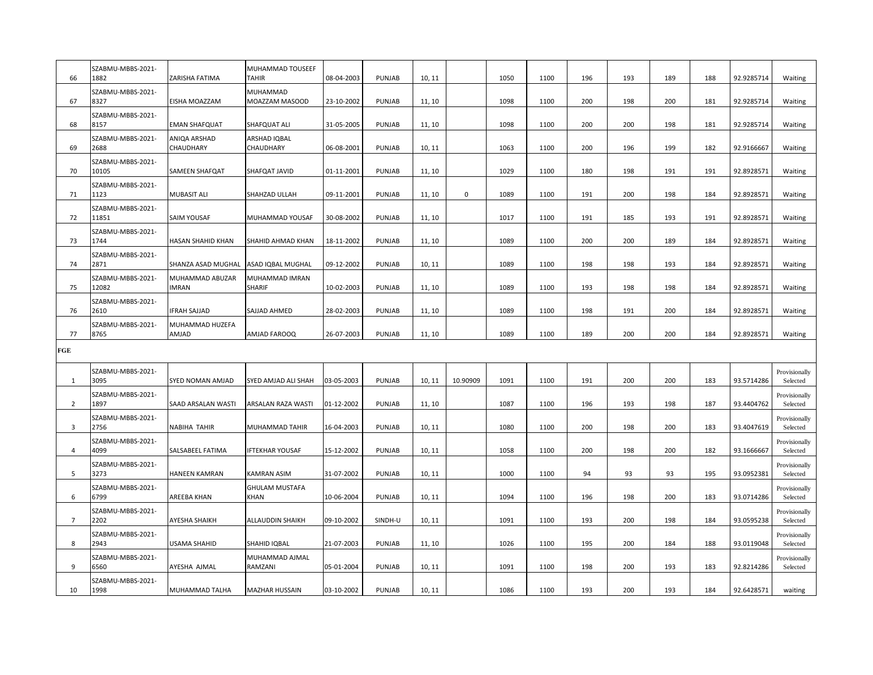| 66                      | SZABMU-MBBS-2021-<br>1882  | ZARISHA FATIMA                 | MUHAMMAD TOUSEEF<br>TAHIR     | 08-04-2003 | PUNJAB        | 10, 11 |             | 1050 | 1100 | 196 | 193 | 189 | 188 | 92.9285714 | Waiting                   |
|-------------------------|----------------------------|--------------------------------|-------------------------------|------------|---------------|--------|-------------|------|------|-----|-----|-----|-----|------------|---------------------------|
| 67                      | SZABMU-MBBS-2021-<br>8327  | EISHA MOAZZAM                  | MUHAMMAD<br>MOAZZAM MASOOD    | 23-10-2002 | PUNJAB        | 11, 10 |             | 1098 | 1100 | 200 | 198 | 200 | 181 | 92.9285714 | Waiting                   |
| 68                      | SZABMU-MBBS-2021-<br>8157  | <b>EMAN SHAFQUAT</b>           | SHAFQUAT ALI                  | 31-05-2005 | PUNJAB        | 11, 10 |             | 1098 | 1100 | 200 | 200 | 198 | 181 | 92.9285714 | Waiting                   |
| 69                      | SZABMU-MBBS-2021-<br>2688  | ANIQA ARSHAD<br>CHAUDHARY      | ARSHAD IQBAL<br>CHAUDHARY     | 06-08-2001 | PUNJAB        | 10, 11 |             | 1063 | 1100 | 200 | 196 | 199 | 182 | 92.9166667 | Waiting                   |
| 70                      | SZABMU-MBBS-2021-<br>10105 | SAMEEN SHAFQAT                 | SHAFQAT JAVID                 | 01-11-2001 | PUNJAB        | 11, 10 |             | 1029 | 1100 | 180 | 198 | 191 | 191 | 92.8928571 | Waiting                   |
| 71                      | SZABMU-MBBS-2021-<br>1123  | <b>MUBASIT ALI</b>             | SHAHZAD ULLAH                 | 09-11-2001 | PUNJAB        | 11, 10 | $\mathsf 0$ | 1089 | 1100 | 191 | 200 | 198 | 184 | 92.8928571 | Waiting                   |
| 72                      | SZABMU-MBBS-2021-<br>11851 | <b>SAIM YOUSAF</b>             | MUHAMMAD YOUSAF               | 30-08-2002 | PUNJAB        | 11, 10 |             | 1017 | 1100 | 191 | 185 | 193 | 191 | 92.8928571 | Waiting                   |
| 73                      | SZABMU-MBBS-2021-<br>1744  | HASAN SHAHID KHAN              | SHAHID AHMAD KHAN             | 18-11-2002 | PUNJAB        | 11, 10 |             | 1089 | 1100 | 200 | 200 | 189 | 184 | 92.8928571 | Waiting                   |
| 74                      | SZABMU-MBBS-2021-<br>2871  | SHANZA ASAD MUGHAL             | ASAD IQBAL MUGHAL             | 09-12-2002 | PUNJAB        | 10, 11 |             | 1089 | 1100 | 198 | 198 | 193 | 184 | 92.8928571 | Waiting                   |
| 75                      | SZABMU-MBBS-2021-<br>12082 | MUHAMMAD ABUZAR<br><b>MRAN</b> | MUHAMMAD IMRAN<br>SHARIF      | 10-02-2003 | PUNJAB        | 11, 10 |             | 1089 | 1100 | 193 | 198 | 198 | 184 | 92.8928571 | Waiting                   |
| 76                      | SZABMU-MBBS-2021-<br>2610  | <b>FRAH SAJJAD</b>             | SAJJAD AHMED                  | 28-02-2003 | PUNJAB        | 11, 10 |             | 1089 | 1100 | 198 | 191 | 200 | 184 | 92.8928571 | Waiting                   |
| 77                      | SZABMU-MBBS-2021-<br>8765  | MUHAMMAD HUZEFA<br>AMJAD       | AMJAD FAROOQ                  | 26-07-2003 | PUNJAB        | 11, 10 |             | 1089 | 1100 | 189 | 200 | 200 | 184 | 92.8928571 | Waiting                   |
| FGE                     |                            |                                |                               |            |               |        |             |      |      |     |     |     |     |            |                           |
| 1                       | SZABMU-MBBS-2021-<br>3095  | SYED NOMAN AMJAD               | SYED AMJAD ALI SHAH           | 03-05-2003 | PUNJAB        | 10, 11 | 10.90909    | 1091 | 1100 | 191 | 200 | 200 | 183 | 93.5714286 | Provisionally<br>Selected |
| $\overline{2}$          | SZABMU-MBBS-2021-<br>1897  | SAAD ARSALAN WASTI             | ARSALAN RAZA WASTI            | 01-12-2002 | PUNJAB        | 11, 10 |             | 1087 | 1100 | 196 | 193 | 198 | 187 | 93.4404762 | Provisionally<br>Selected |
| $\overline{\mathbf{3}}$ | SZABMU-MBBS-2021-<br>2756  | <b>NABIHA TAHIR</b>            | MUHAMMAD TAHIR                | 16-04-2003 | PUNJAB        | 10, 11 |             | 1080 | 1100 | 200 | 198 | 200 | 183 | 93.4047619 | Provisionally<br>Selected |
| $\overline{4}$          | SZABMU-MBBS-2021-<br>4099  | SALSABEEL FATIMA               | FTEKHAR YOUSAF                | 15-12-2002 | PUNJAB        | 10, 11 |             | 1058 | 1100 | 200 | 198 | 200 | 182 | 93.1666667 | Provisionally<br>Selected |
| 5                       | SZABMU-MBBS-2021-<br>3273  | HANEEN KAMRAN                  | KAMRAN ASIM                   | 31-07-2002 | PUNJAB        | 10, 11 |             | 1000 | 1100 | 94  | 93  | 93  | 195 | 93.0952381 | Provisionally<br>Selected |
| 6                       | SZABMU-MBBS-2021-<br>6799  | AREEBA KHAN                    | <b>GHULAM MUSTAFA</b><br>KHAN | 10-06-2004 | <b>PUNJAB</b> | 10, 11 |             | 1094 | 1100 | 196 | 198 | 200 | 183 | 93.0714286 | Provisionally<br>Selected |
| $\overline{7}$          | SZABMU-MBBS-2021-<br>2202  | AYESHA SHAIKH                  | ALLAUDDIN SHAIKH              | 09-10-2002 | SINDH-U       | 10, 11 |             | 1091 | 1100 | 193 | 200 | 198 | 184 | 93.0595238 | Provisionally<br>Selected |
| 8                       | SZABMU-MBBS-2021-<br>2943  | USAMA SHAHID                   | SHAHID IQBAL                  | 21-07-2003 | <b>PUNJAB</b> | 11, 10 |             | 1026 | 1100 | 195 | 200 | 184 | 188 | 93.0119048 | Provisionally<br>Selected |
| 9                       | SZABMU-MBBS-2021-<br>6560  | AYESHA AJMAL                   | MUHAMMAD AJMAL<br>RAMZANI     | 05-01-2004 | <b>PUNJAB</b> | 10, 11 |             | 1091 | 1100 | 198 | 200 | 193 | 183 | 92.8214286 | Provisionally<br>Selected |
|                         | SZABMU-MBBS-2021-          |                                |                               |            |               |        |             |      |      |     |     |     |     |            |                           |
| 10                      | 1998                       | MUHAMMAD TALHA                 | <b>MAZHAR HUSSAIN</b>         | 03-10-2002 | PUNJAB        | 10, 11 |             | 1086 | 1100 | 193 | 200 | 193 | 184 | 92.6428571 | waiting                   |